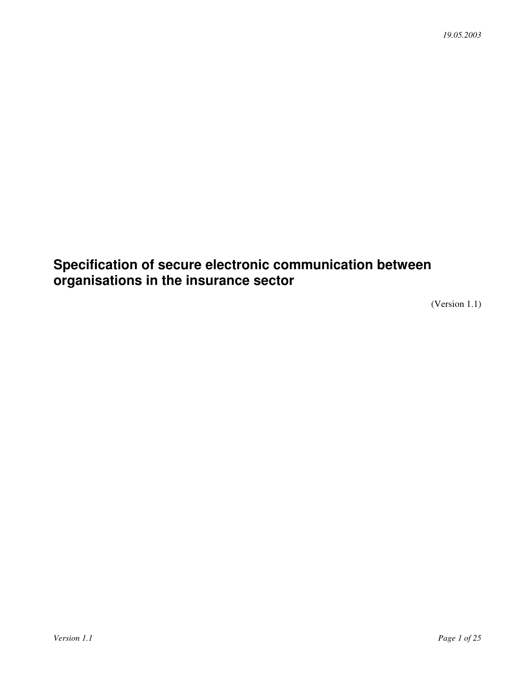**Specification of secure electronic communication between organisations in the insurance sector**

(Version 1.1)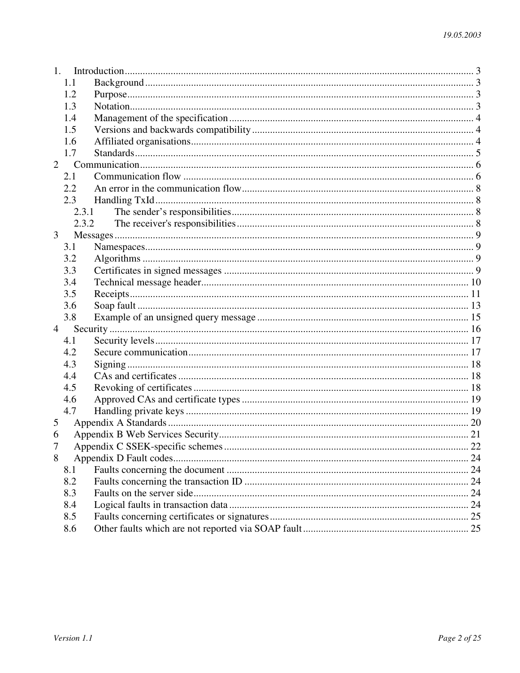| 1.             |         |     |
|----------------|---------|-----|
|                | 1.1     |     |
|                | 1.2     |     |
|                | 1.3     |     |
|                | 1.4     |     |
|                | 1.5     |     |
|                | 1.6     |     |
|                | 1.7     |     |
| $\overline{2}$ |         |     |
|                | 2.1     |     |
|                | $2.2\,$ |     |
|                | 2.3     |     |
|                | 2.3.1   |     |
|                | 2.3.2   |     |
| 3              |         |     |
|                | 3.1     |     |
|                | 3.2     |     |
|                | 3.3     |     |
|                | 3.4     |     |
|                | 3.5     |     |
|                | 3.6     |     |
|                | 3.8     |     |
| $\overline{4}$ |         |     |
|                | 4.1     |     |
|                | 4.2     |     |
|                | 4.3     |     |
|                | 4.4     |     |
|                | 4.5     |     |
|                | 4.6     |     |
|                | 4.7     |     |
| 5              |         |     |
| 6              |         |     |
|                |         | .22 |
| 8              |         |     |
|                | 8.1     |     |
|                | 8.2     |     |
|                | 8.3     |     |
|                | 8.4     |     |
|                | 8.5     |     |
|                | 8.6     |     |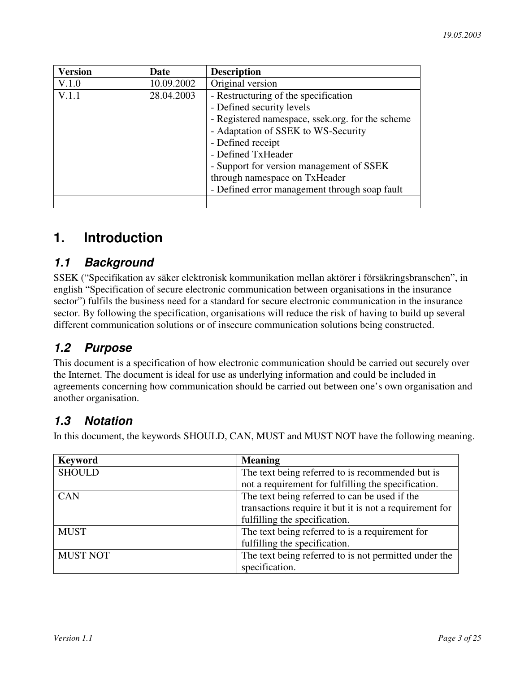| Version | Date       | <b>Description</b>                               |
|---------|------------|--------------------------------------------------|
| V.1.0   | 10.09.2002 | Original version                                 |
| V.1.1   | 28.04.2003 | - Restructuring of the specification             |
|         |            | - Defined security levels                        |
|         |            | - Registered namespace, ssek.org. for the scheme |
|         |            | - Adaptation of SSEK to WS-Security              |
|         |            | - Defined receipt                                |
|         |            | - Defined TxHeader                               |
|         |            | - Support for version management of SSEK         |
|         |            | through namespace on TxHeader                    |
|         |            | - Defined error management through soap fault    |
|         |            |                                                  |

## **1. Introduction**

#### *1.1 Background*

SSEK ("Specifikation av säker elektronisk kommunikation mellan aktörer i försäkringsbranschen", in english "Specification of secure electronic communication between organisations in the insurance sector") fulfils the business need for a standard for secure electronic communication in the insurance sector. By following the specification, organisations will reduce the risk of having to build up several different communication solutions or of insecure communication solutions being constructed.

#### *1.2 Purpose*

This document is a specification of how electronic communication should be carried out securely over the Internet. The document is ideal for use as underlying information and could be included in agreements concerning how communication should be carried out between one's own organisation and another organisation.

#### *1.3 Notation*

In this document, the keywords SHOULD, CAN, MUST and MUST NOT have the following meaning.

| <b>Keyword</b>  | <b>Meaning</b>                                          |  |
|-----------------|---------------------------------------------------------|--|
| <b>SHOULD</b>   | The text being referred to is recommended but is        |  |
|                 | not a requirement for fulfilling the specification.     |  |
| <b>CAN</b>      | The text being referred to can be used if the           |  |
|                 | transactions require it but it is not a requirement for |  |
|                 | fulfilling the specification.                           |  |
| <b>MUST</b>     | The text being referred to is a requirement for         |  |
|                 | fulfilling the specification.                           |  |
| <b>MUST NOT</b> | The text being referred to is not permitted under the   |  |
|                 | specification.                                          |  |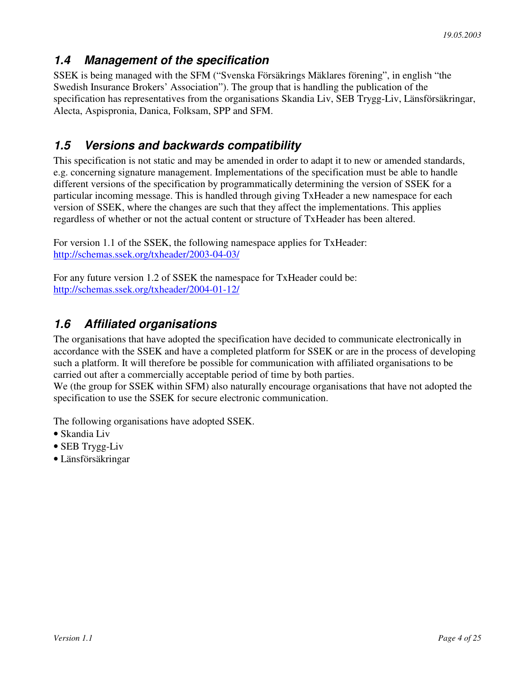#### *1.4 Management of the specification*

SSEK is being managed with the SFM ("Svenska Försäkrings Mäklares förening", in english "the Swedish Insurance Brokers' Association"). The group that is handling the publication of the specification has representatives from the organisations Skandia Liv, SEB Trygg-Liv, Länsförsäkringar, Alecta, Aspispronia, Danica, Folksam, SPP and SFM.

#### *1.5 Versions and backwards compatibility*

This specification is not static and may be amended in order to adapt it to new or amended standards, e.g. concerning signature management. Implementations of the specification must be able to handle different versions of the specification by programmatically determining the version of SSEK for a particular incoming message. This is handled through giving TxHeader a new namespace for each version of SSEK, where the changes are such that they affect the implementations. This applies regardless of whether or not the actual content or structure of TxHeader has been altered.

For version 1.1 of the SSEK, the following namespace applies for TxHeader: http://schemas.ssek.org/txheader/2003-04-03/

For any future version 1.2 of SSEK the namespace for TxHeader could be: http://schemas.ssek.org/txheader/2004-01-12/

#### *1.6 Affiliated organisations*

The organisations that have adopted the specification have decided to communicate electronically in accordance with the SSEK and have a completed platform for SSEK or are in the process of developing such a platform. It will therefore be possible for communication with affiliated organisations to be carried out after a commercially acceptable period of time by both parties.

We (the group for SSEK within SFM) also naturally encourage organisations that have not adopted the specification to use the SSEK for secure electronic communication.

The following organisations have adopted SSEK.

- Skandia Liv
- SEB Trygg-Liv
- Länsförsäkringar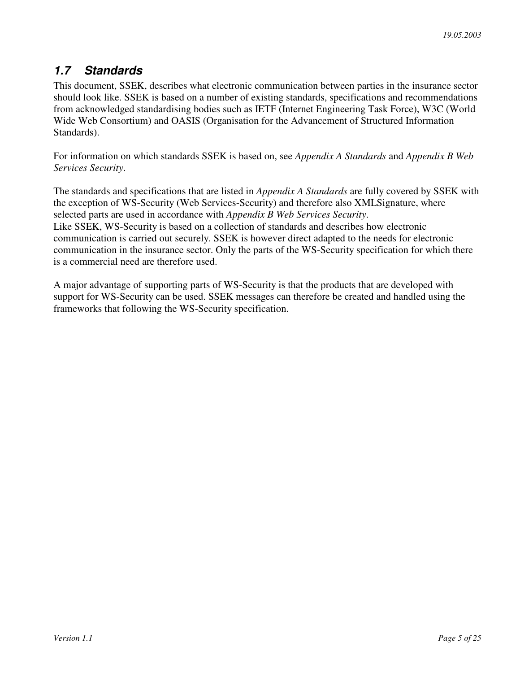#### *1.7 Standards*

This document, SSEK, describes what electronic communication between parties in the insurance sector should look like. SSEK is based on a number of existing standards, specifications and recommendations from acknowledged standardising bodies such as IETF (Internet Engineering Task Force), W3C (World Wide Web Consortium) and OASIS (Organisation for the Advancement of Structured Information Standards).

For information on which standards SSEK is based on, see *Appendix A Standards* and *Appendix B Web Services Security*.

The standards and specifications that are listed in *Appendix A Standards* are fully covered by SSEK with the exception of WS-Security (Web Services-Security) and therefore also XMLSignature, where selected parts are used in accordance with *Appendix B Web Services Security*. Like SSEK, WS-Security is based on a collection of standards and describes how electronic communication is carried out securely. SSEK is however direct adapted to the needs for electronic communication in the insurance sector. Only the parts of the WS-Security specification for which there is a commercial need are therefore used.

A major advantage of supporting parts of WS-Security is that the products that are developed with support for WS-Security can be used. SSEK messages can therefore be created and handled using the frameworks that following the WS-Security specification.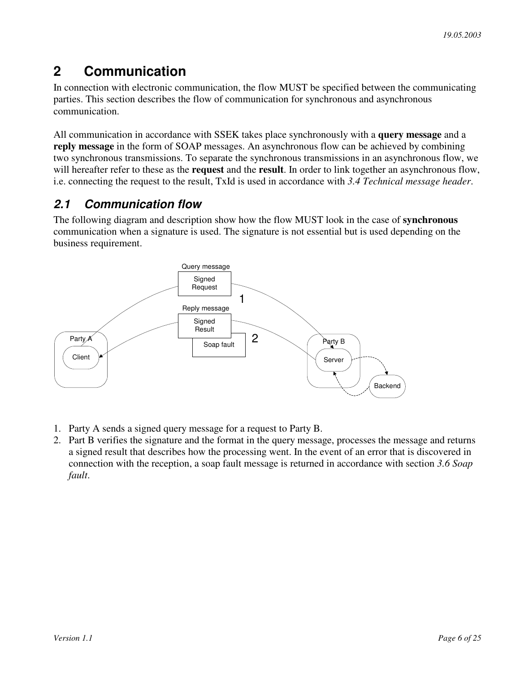# **2 Communication**

In connection with electronic communication, the flow MUST be specified between the communicating parties. This section describes the flow of communication for synchronous and asynchronous communication.

All communication in accordance with SSEK takes place synchronously with a **query message** and a **reply message** in the form of SOAP messages. An asynchronous flow can be achieved by combining two synchronous transmissions. To separate the synchronous transmissions in an asynchronous flow, we will hereafter refer to these as the **request** and the **result**. In order to link together an asynchronous flow, i.e. connecting the request to the result, TxId is used in accordance with *3.4 Technical message header*.

### *2.1 Communication flow*

The following diagram and description show how the flow MUST look in the case of **synchronous** communication when a signature is used. The signature is not essential but is used depending on the business requirement.



- 1. Party A sends a signed query message for a request to Party B.
- 2. Part B verifies the signature and the format in the query message, processes the message and returns a signed result that describes how the processing went. In the event of an error that is discovered in connection with the reception, a soap fault message is returned in accordance with section *3.6 Soap fault*.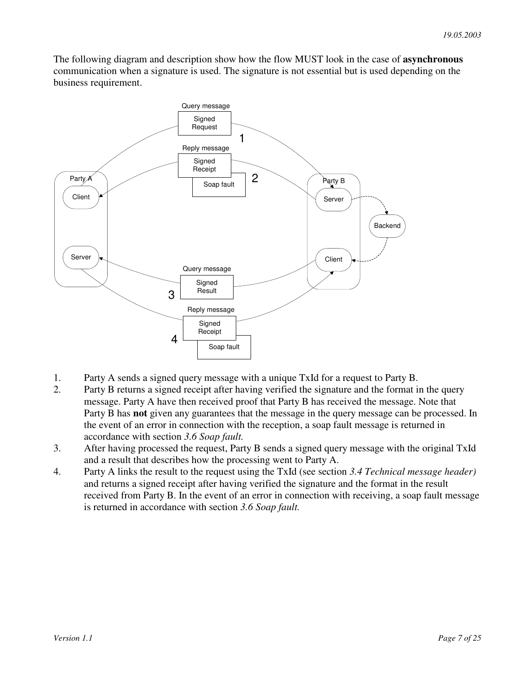The following diagram and description show how the flow MUST look in the case of **asynchronous** communication when a signature is used. The signature is not essential but is used depending on the business requirement.



- 1. Party A sends a signed query message with a unique TxId for a request to Party B.
- 2. Party B returns a signed receipt after having verified the signature and the format in the query message. Party A have then received proof that Party B has received the message. Note that Party B has **not** given any guarantees that the message in the query message can be processed. In the event of an error in connection with the reception, a soap fault message is returned in accordance with section *3.6 Soap fault.*
- 3. After having processed the request, Party B sends a signed query message with the original TxId and a result that describes how the processing went to Party A.
- 4. Party A links the result to the request using the TxId (see section *3.4 Technical message header)* and returns a signed receipt after having verified the signature and the format in the result received from Party B. In the event of an error in connection with receiving, a soap fault message is returned in accordance with section *3.6 Soap fault.*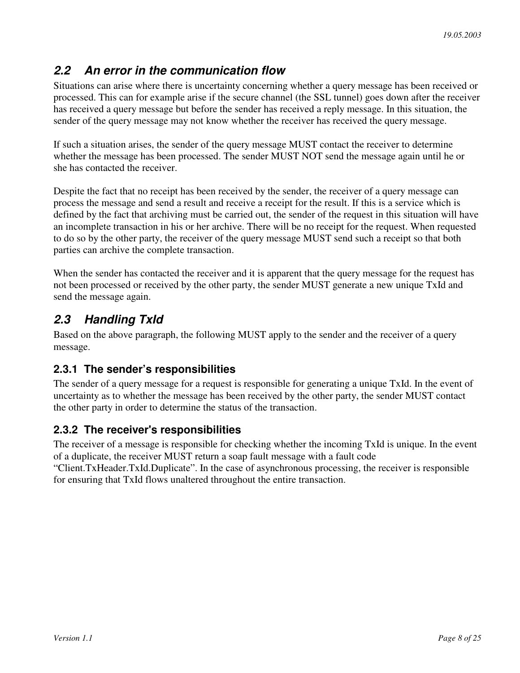#### *2.2 An error in the communication flow*

Situations can arise where there is uncertainty concerning whether a query message has been received or processed. This can for example arise if the secure channel (the SSL tunnel) goes down after the receiver has received a query message but before the sender has received a reply message. In this situation, the sender of the query message may not know whether the receiver has received the query message.

If such a situation arises, the sender of the query message MUST contact the receiver to determine whether the message has been processed. The sender MUST NOT send the message again until he or she has contacted the receiver.

Despite the fact that no receipt has been received by the sender, the receiver of a query message can process the message and send a result and receive a receipt for the result. If this is a service which is defined by the fact that archiving must be carried out, the sender of the request in this situation will have an incomplete transaction in his or her archive. There will be no receipt for the request. When requested to do so by the other party, the receiver of the query message MUST send such a receipt so that both parties can archive the complete transaction.

When the sender has contacted the receiver and it is apparent that the query message for the request has not been processed or received by the other party, the sender MUST generate a new unique TxId and send the message again.

#### *2.3 Handling TxId*

Based on the above paragraph, the following MUST apply to the sender and the receiver of a query message.

#### **2.3.1 The sender's responsibilities**

The sender of a query message for a request is responsible for generating a unique TxId. In the event of uncertainty as to whether the message has been received by the other party, the sender MUST contact the other party in order to determine the status of the transaction.

#### **2.3.2 The receiver's responsibilities**

The receiver of a message is responsible for checking whether the incoming TxId is unique. In the event of a duplicate, the receiver MUST return a soap fault message with a fault code

"Client.TxHeader.TxId.Duplicate". In the case of asynchronous processing, the receiver is responsible for ensuring that TxId flows unaltered throughout the entire transaction.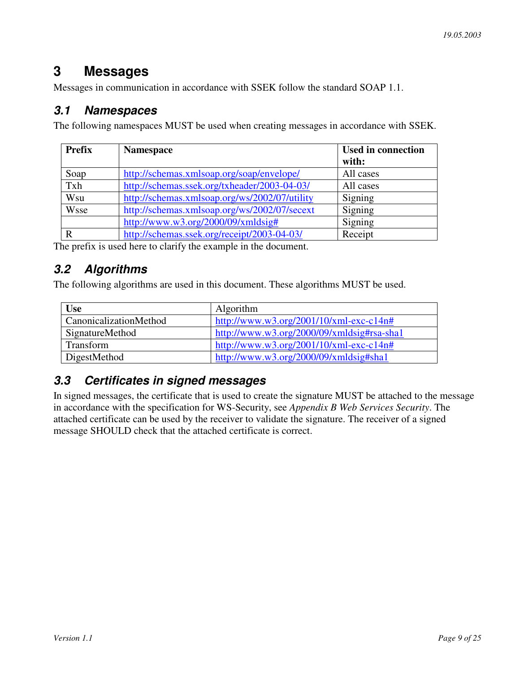# **3 Messages**

Messages in communication in accordance with SSEK follow the standard SOAP 1.1.

#### *3.1 Namespaces*

The following namespaces MUST be used when creating messages in accordance with SSEK.

| <b>Prefix</b> | <b>Namespace</b>                              | <b>Used in connection</b> |
|---------------|-----------------------------------------------|---------------------------|
|               |                                               | with:                     |
| Soap          | http://schemas.xmlsoap.org/soap/envelope/     | All cases                 |
| Txh           | http://schemas.ssek.org/txheader/2003-04-03/  | All cases                 |
| Wsu           | http://schemas.xmlsoap.org/ws/2002/07/utility | Signing                   |
| Wsse          | http://schemas.xmlsoap.org/ws/2002/07/secext  | Signing                   |
|               | http://www.w3.org/2000/09/xmldsig#            | Signing                   |
|               | http://schemas.ssek.org/receipt/2003-04-03/   | Receipt                   |

The prefix is used here to clarify the example in the document.

#### *3.2 Algorithms*

The following algorithms are used in this document. These algorithms MUST be used.

| <b>Use</b>             | Algorithm                                  |
|------------------------|--------------------------------------------|
| CanonicalizationMethod | http://www.w3.org/2001/10/xml-exc-c14n#    |
| SignatureMethod        | http://www.w3.org/2000/09/xmldsig#rsa-sha1 |
| Transform              | http://www.w3.org/2001/10/xml-exc-c14n#    |
| DigestMethod           | http://www.w3.org/2000/09/xmldsig#sha1     |

#### *3.3 Certificates in signed messages*

In signed messages, the certificate that is used to create the signature MUST be attached to the message in accordance with the specification for WS-Security, see *Appendix B Web Services Security*. The attached certificate can be used by the receiver to validate the signature. The receiver of a signed message SHOULD check that the attached certificate is correct.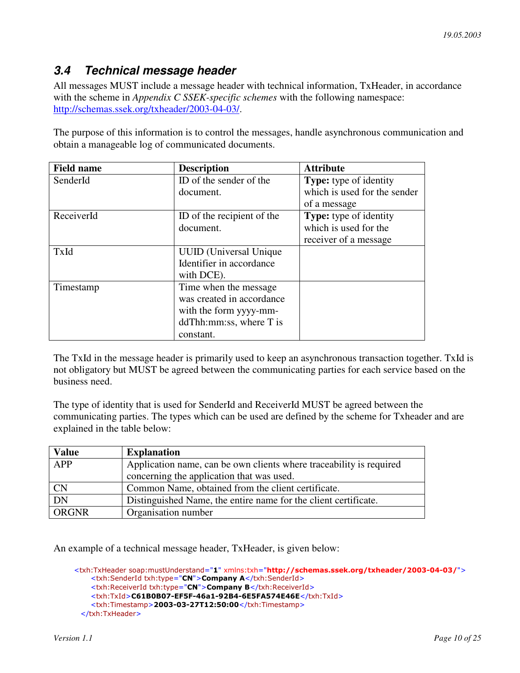#### *3.4 Technical message header*

All messages MUST include a message header with technical information, TxHeader, in accordance with the scheme in *Appendix C SSEK-specific schemes* with the following namespace: http://schemas.ssek.org/txheader/2003-04-03/.

The purpose of this information is to control the messages, handle asynchronous communication and obtain a manageable log of communicated documents.

| <b>Field name</b> | <b>Description</b>             | <b>Attribute</b>              |
|-------------------|--------------------------------|-------------------------------|
| SenderId          | ID of the sender of the        | <b>Type:</b> type of identity |
|                   | document.                      | which is used for the sender  |
|                   |                                | of a message                  |
| ReceiverId        | ID of the recipient of the     | <b>Type:</b> type of identity |
|                   | document.                      | which is used for the         |
|                   |                                | receiver of a message         |
| TxId              | <b>UUID</b> (Universal Unique) |                               |
|                   | Identifier in accordance       |                               |
|                   | with DCE).                     |                               |
| Timestamp         | Time when the message          |                               |
|                   | was created in accordance      |                               |
|                   | with the form yyyy-mm-         |                               |
|                   | ddThh:mm:ss, where T is        |                               |
|                   | constant.                      |                               |

The TxId in the message header is primarily used to keep an asynchronous transaction together. TxId is not obligatory but MUST be agreed between the communicating parties for each service based on the business need.

The type of identity that is used for SenderId and ReceiverId MUST be agreed between the communicating parties. The types which can be used are defined by the scheme for Txheader and are explained in the table below:

| <b>Value</b>    | <b>Explanation</b>                                                  |
|-----------------|---------------------------------------------------------------------|
| APP             | Application name, can be own clients where traceability is required |
|                 | concerning the application that was used.                           |
| <b>CN</b>       | Common Name, obtained from the client certificate.                  |
| $\overline{DN}$ | Distinguished Name, the entire name for the client certificate.     |
| <b>ORGNR</b>    | Organisation number                                                 |

An example of a technical message header, TxHeader, is given below:

```
<txh:TxHeader soap:mustUnderstand="1" xmlns:txh="http://schemas.ssek.org/txheader/2003-04-03/">
    <txh:SenderId txh:type="CN">Company A</txh:SenderId>
    <txh:ReceiverId txh:type="CN">Company B</txh:ReceiverId>
    <txh:TxId>C61B0B07-EF5F-46a1-92B4-6E5FA574E46E</txh:TxId>
    <txh:Timestamp>2003-03-27T12:50:00</txh:Timestamp>
 </txh:TxHeader>
```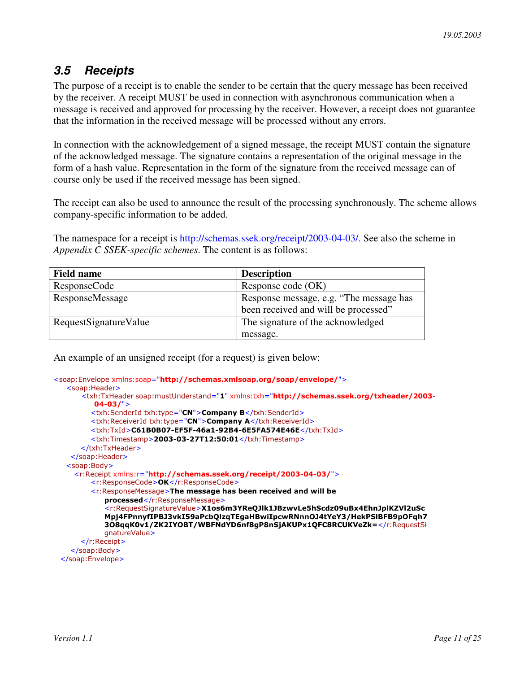#### *3.5 Receipts*

The purpose of a receipt is to enable the sender to be certain that the query message has been received by the receiver. A receipt MUST be used in connection with asynchronous communication when a message is received and approved for processing by the receiver. However, a receipt does not guarantee that the information in the received message will be processed without any errors.

In connection with the acknowledgement of a signed message, the receipt MUST contain the signature of the acknowledged message. The signature contains a representation of the original message in the form of a hash value. Representation in the form of the signature from the received message can of course only be used if the received message has been signed.

The receipt can also be used to announce the result of the processing synchronously. The scheme allows company-specific information to be added.

The namespace for a receipt is http://schemas.ssek.org/receipt/2003-04-03/. See also the scheme in *Appendix C SSEK-specific schemes*. The content is as follows:

| <b>Field name</b>     | <b>Description</b>                      |
|-----------------------|-----------------------------------------|
| ResponseCode          | Response code (OK)                      |
| ResponseMessage       | Response message, e.g. "The message has |
|                       | been received and will be processed"    |
| RequestSignatureValue | The signature of the acknowledged       |
|                       | message.                                |

An example of an unsigned receipt (for a request) is given below:

```
<soap:Envelope xmlns:soap="http://schemas.xmlsoap.org/soap/envelope/">
   <soap:Header>
      -txh:TxHeader soap:mustUnderstand="1" xmlns:txh="http://schemas.ssek.org/txheader/2003-
         04 - 03 /">
        <txh:SenderId txh:type="CN">Company B</txh:SenderId>
        <txh:ReceiverId txh:type="CN">Company A</txh:ReceiverId>
        <txh:TxId>C61B0B07-EF5F-46a1-92B4-6E5FA574E46E</txh:TxId>
        <txh:Timestamp>2003-03-27T12:50:01</txh:Timestamp>
      </txh:TxHeader>
    </soap:Header>
   <soap:Body>
    <r:Receipt xmlns:r="http://schemas.ssek.org/receipt/2003-04-03/">
        <r:ResponseCode>OK</r:ResponseCode>
        \ltr:ResponseMessage>The message has been received and will be
           processed</r:ResponseMessage>
            <r:RequestSignatureValue>X1os6m3YReQJlk1JBzwvLe5hScdz09uBx4EhnJplKZVl2uSc
            Mpj4FPnnyfIPBJ3vkI59aPcbQlzqTEgaHBwiIpcwRNnnOJ4tYeY3/HekPSIBFB9pOFqh7
            3O8qqK0v1/ZK2IYOBT/WBFNdYD6nf8gP8nSjAKUPx1QFC8RCUKVeZk=</r:RequestSi
            gnatureValue>
      </r:Receipt>
    </soap:Body>
 </soap:Envelope>
```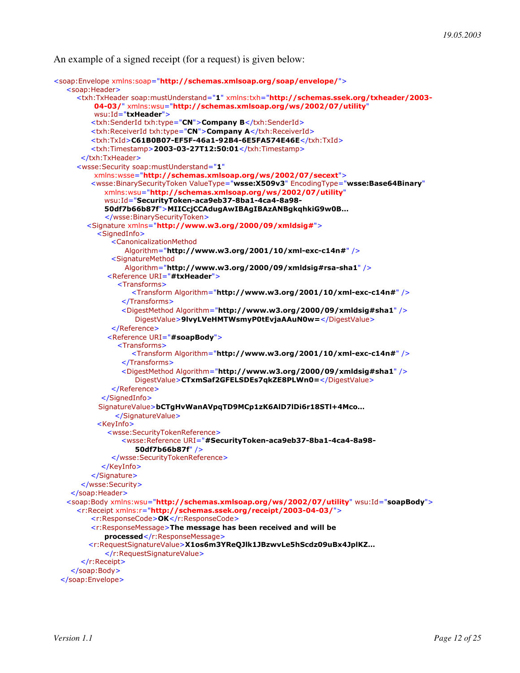An example of a signed receipt (for a request) is given below:

```
<soap:Envelope xmlns:soap="http://schemas.xmlsoap.org/soap/envelope/">
   <soap:Header>
     <txh:TxHeader soap:mustUnderstand="1" xmlns:txh="http://schemas.ssek.org/txheader/2003-
         04-03/" xmlns:wsu="http://schemas.xmlsoap.org/ws/2002/07/utility"
         wsu:Id="txHeader">
        <txh:SenderId txh:type="CN">Company B</txh:SenderId>
        <txh:ReceiverId txh:type="CN">Company A</txh:ReceiverId>
        <txh:TxId>C61B0B07-EF5F-46a1-92B4-6E5FA574E46E</txh:TxId>
         <txh:Timestamp>2003-03-27T12:50:01</txh:Timestamp>
      </txh:TxHeader>
     <wsse:Security soap:mustUnderstand="1"
         xmlns:wsse="http://schemas.xmlsoap.org/ws/2002/07/secext">
         <wsse:BinarySecurityToken ValueType="wsse:X509v3" EncodingType="wsse:Base64Binary"
            xmlns:wsu="http://schemas.xmlsoap.org/ws/2002/07/utility
            wsu:Id="SecurityToken-aca9eb37-8ba1-4ca4-8a98-
            50df7b66b87f">MIICcjCCAdugAwIBAgIBAzANBgkqhkiG9w0B...
            </wsse:BinarySecurityToken>
        <Signature xmlns="http://www.w3.org/2000/09/xmldsig#">
          <SignedInfo>
              <CanonicalizationMethod
                 Algorithm="http://www.w3.org/2001/10/xml-exc-c14n#"/>
              <SignatureMethod
                 Algorithm="http://www.w3.org/2000/09/xmldsig#rsa-sha1"/>
             <Reference URI="#txHeader">
               <Transforms>
                   <Transform Algorithm="http://www.w3.org/2001/10/xml-exc-c14n#" />
                </Transforms>
                <DigestMethod Algorithm="http://www.w3.org/2000/09/xmldsig#sha1" />
                   DigestValue>9lvyLVeHMTWsmyP0tEvjaAAuN0w=</DigestValue>
             </Reference>
             <Reference URI="#soapBody">
               <Transforms>
                   <Transform Algorithm="http://www.w3.org/2001/10/xml-exc-c14n#" />
                \langleTransforms>
                <DigestMethod Algorithm="http://www.w3.org/2000/09/xmldsig#sha1" />
                   DigestValue>CTxmSaf2GFELSDEs7gkZE8PLWn0=</DigestValue>
             </Reference>
           </SignedInfo>
          SignatureValue>bCTgHvWanAVpqTD9MCp1zK6AID7lDi6r18STI+4Mco...
              </SignatureValue>
          <KevInfo>
             <wsse:SecurityTokenReference>
                <wsse: Reference URI="#SecurityToken-aca9eb37-8ba1-4ca4-8a98-
                   50df7b66b87f" />
             </wsse:SecurityTokenReference>
           </KeyInfo>
        </Signature>
      </wsse:Security>
    </soap:Header>
   <soap:Body xmlns:wsu="http://schemas.xmlsoap.org/ws/2002/07/utility" wsu:Id="soapBody">
     <r:Receipt xmlns:r="http://schemas.ssek.org/receipt/2003-04-03/">
        <r:ResponseCode>OK</r:ResponseCode>
         <r:ResponseMessage>The message has been received and will be
            processed</r:ResponseMessage>
        <r:RequestSignatureValue>X1os6m3YReQJlk1JBzwvLe5hScdz09uBx4JplKZ...
            </r:RequestSignatureValue>
      </r:Receipt>
    </soap:Body>
 </soap:Envelope>
```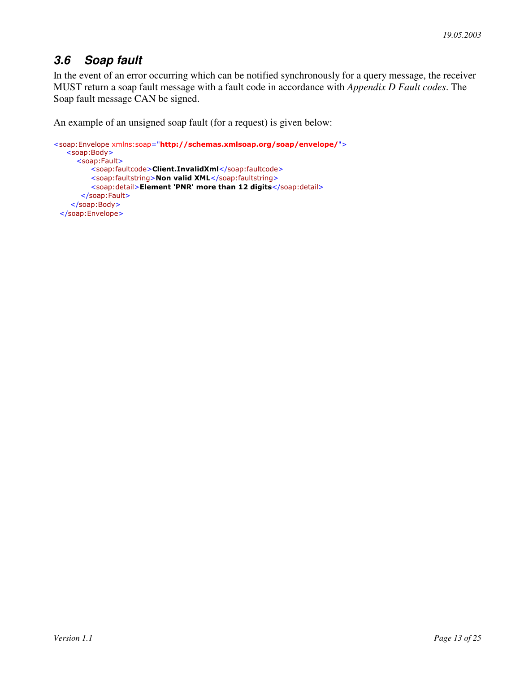#### $3.6$ Soap fault

In the event of an error occurring which can be notified synchronously for a query message, the receiver MUST return a soap fault message with a fault code in accordance with Appendix D Fault codes. The Soap fault message CAN be signed.

An example of an unsigned soap fault (for a request) is given below:

```
<soap:Envelope xmlns:soap="http://schemas.xmlsoap.org/soap/envelope/">
   <soap:Body>
     <soap:Fault>
         <soap:faultcode>Client.InvalidXml</soap:faultcode>
         <soap:faultstring>Non valid XML</soap:faultstring>
         <soap:detail>Element 'PNR' more than 12 digits</soap:detail>
      </soap:Fault>
    </soap:Body>
 </soap:Envelope>
```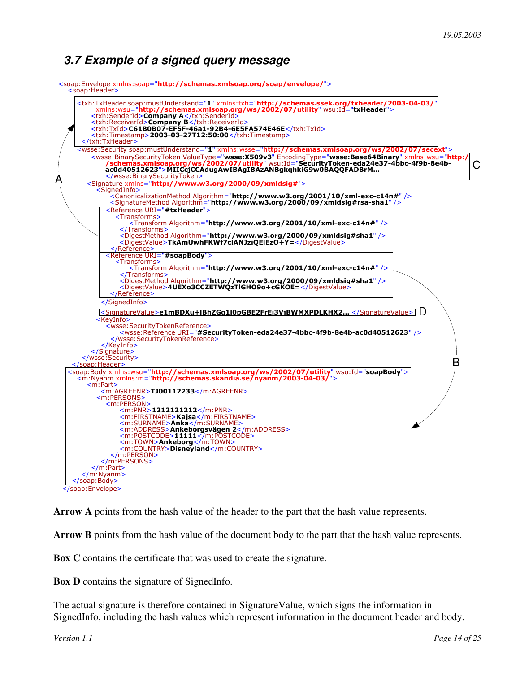#### *3.7 Example of a signed query message*



**Arrow A** points from the hash value of the header to the part that the hash value represents.

**Arrow B** points from the hash value of the document body to the part that the hash value represents.

**Box C** contains the certificate that was used to create the signature.

**Box D** contains the signature of SignedInfo.

The actual signature is therefore contained in SignatureValue, which signs the information in SignedInfo, including the hash values which represent information in the document header and body.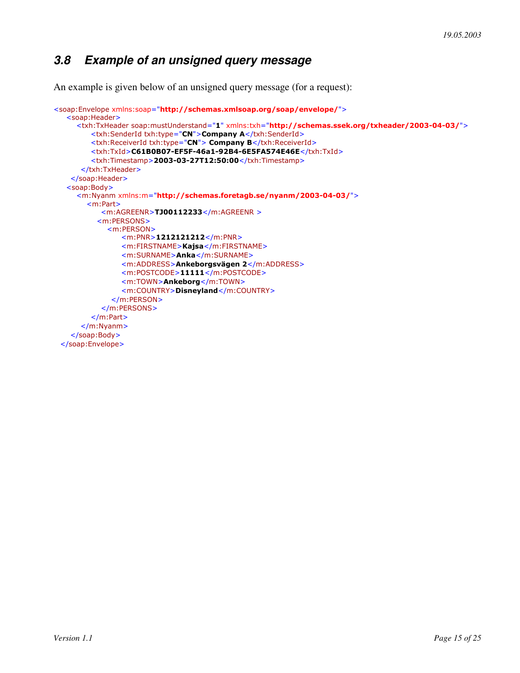#### *3.8 Example of an unsigned query message*

An example is given below of an unsigned query message (for a request):

```
<soap:Envelope xmlns:soap="http://schemas.xmlsoap.org/soap/envelope/">
  <soap:Header>
     <txh:TxHeader soap:mustUnderstand="1" xmlns:txh="http://schemas.ssek.org/txheader/2003-04-03/">
        <txh:SenderId txh:type="CN">Company A</txh:SenderId>
        <txh:ReceiverId txh:type="CN"> Company B</txh:ReceiverId>
        <txh:TxId>C61B0B07-EF5F-46a1-92B4-6E5FA574E46E</txh:TxId>
        <txh:Timestamp>2003-03-27T12:50:00</txh:Timestamp>
      </txh:TxHeader>
   </soap:Header>
  <soap:Body>
     <m:Nyanm xmlns:m="http://schemas.foretagb.se/nyanm/2003-04-03/">
       <m:Part>
          <m:AGREENR>TJ00112233</m:AGREENR >
          <m:PERSONS>
            <m:PERSON>
               <m:PNR>1212121212</m:PNR>
               <m:FIRSTNAME>Kajsa</m:FIRSTNAME>
               <m:SURNAME>Anka</m:SURNAME>
               <m:ADDRESS>Ankeborgsvägen 2</m:ADDRESS>
               <m:POSTCODE>11111</m:POSTCODE>
               <m:TOWN>Ankeborg</m:TOWN>
               <m:COUNTRY>Disneyland</m:COUNTRY>
             </m:PERSON>
          </m:PERSONS>
        </m:Part>
      </m:Nyanm>
   \langlesoap:Body>
 </soap:Envelope>
```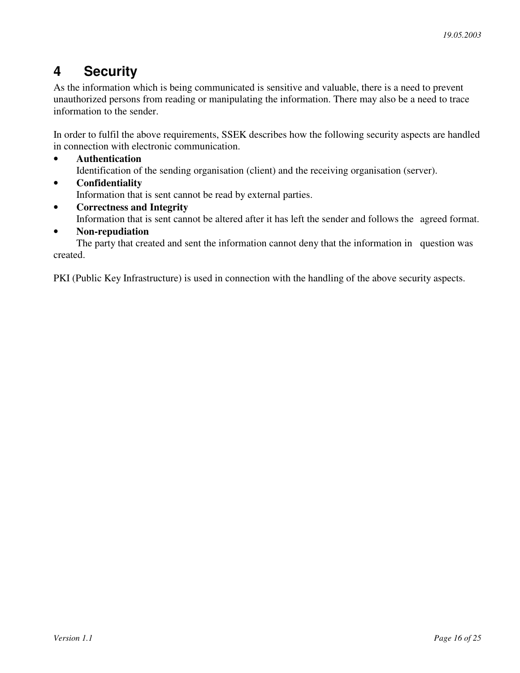# **4 Security**

As the information which is being communicated is sensitive and valuable, there is a need to prevent unauthorized persons from reading or manipulating the information. There may also be a need to trace information to the sender.

In order to fulfil the above requirements, SSEK describes how the following security aspects are handled in connection with electronic communication.

- **Authentication** Identification of the sending organisation (client) and the receiving organisation (server).
- **Confidentiality** Information that is sent cannot be read by external parties.
- **Correctness and Integrity** Information that is sent cannot be altered after it has left the sender and follows the agreed format. • **Non-repudiation**
- The party that created and sent the information cannot deny that the information in question was created.

PKI (Public Key Infrastructure) is used in connection with the handling of the above security aspects.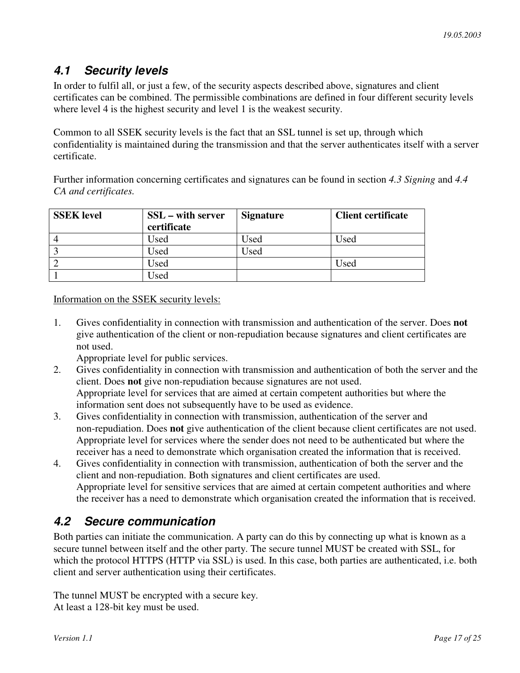#### *4.1 Security levels*

In order to fulfil all, or just a few, of the security aspects described above, signatures and client certificates can be combined. The permissible combinations are defined in four different security levels where level 4 is the highest security and level 1 is the weakest security.

Common to all SSEK security levels is the fact that an SSL tunnel is set up, through which confidentiality is maintained during the transmission and that the server authenticates itself with a server certificate.

Further information concerning certificates and signatures can be found in section *4.3 Signing* and *4.4 CA and certificates.*

| <b>SSEK</b> level | SSL – with server | <b>Signature</b> | <b>Client certificate</b> |
|-------------------|-------------------|------------------|---------------------------|
|                   | certificate       |                  |                           |
| $\overline{4}$    | Used              | Used             | Jsed                      |
|                   | Jsed              | Used             |                           |
|                   | Used              |                  | Used                      |
|                   | Jsed              |                  |                           |

Information on the SSEK security levels:

1. Gives confidentiality in connection with transmission and authentication of the server. Does **not** give authentication of the client or non-repudiation because signatures and client certificates are not used.

Appropriate level for public services.

- 2. Gives confidentiality in connection with transmission and authentication of both the server and the client. Does **not** give non-repudiation because signatures are not used. Appropriate level for services that are aimed at certain competent authorities but where the information sent does not subsequently have to be used as evidence.
- 3. Gives confidentiality in connection with transmission, authentication of the server and non-repudiation. Does **not** give authentication of the client because client certificates are not used. Appropriate level for services where the sender does not need to be authenticated but where the receiver has a need to demonstrate which organisation created the information that is received.
- 4. Gives confidentiality in connection with transmission, authentication of both the server and the client and non-repudiation. Both signatures and client certificates are used. Appropriate level for sensitive services that are aimed at certain competent authorities and where the receiver has a need to demonstrate which organisation created the information that is received.

#### *4.2 Secure communication*

Both parties can initiate the communication. A party can do this by connecting up what is known as a secure tunnel between itself and the other party. The secure tunnel MUST be created with SSL, for which the protocol HTTPS (HTTP via SSL) is used. In this case, both parties are authenticated, i.e. both client and server authentication using their certificates.

The tunnel MUST be encrypted with a secure key. At least a 128-bit key must be used.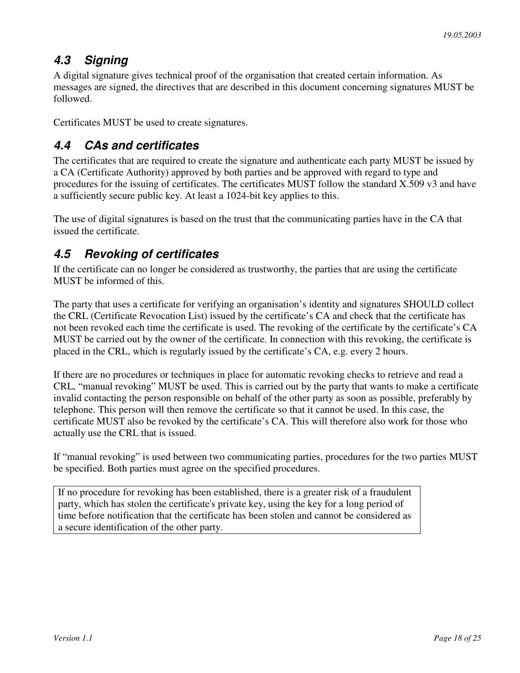### *4.3 Signing*

A digital signature gives technical proof of the organisation that created certain information. As messages are signed, the directives that are described in this document concerning signatures MUST be followed.

Certificates MUST be used to create signatures.

### *4.4 CAs and certificates*

The certificates that are required to create the signature and authenticate each party MUST be issued by a CA (Certificate Authority) approved by both parties and be approved with regard to type and procedures for the issuing of certificates. The certificates MUST follow the standard X.509 v3 and have a sufficiently secure public key. At least a 1024-bit key applies to this.

The use of digital signatures is based on the trust that the communicating parties have in the CA that issued the certificate.

#### *4.5 Revoking of certificates*

If the certificate can no longer be considered as trustworthy, the parties that are using the certificate MUST be informed of this.

The party that uses a certificate for verifying an organisation's identity and signatures SHOULD collect the CRL (Certificate Revocation List) issued by the certificate's CA and check that the certificate has not been revoked each time the certificate is used. The revoking of the certificate by the certificate's CA MUST be carried out by the owner of the certificate. In connection with this revoking, the certificate is placed in the CRL, which is regularly issued by the certificate's CA, e.g. every 2 hours.

If there are no procedures or techniques in place for automatic revoking checks to retrieve and read a CRL, "manual revoking" MUST be used. This is carried out by the party that wants to make a certificate invalid contacting the person responsible on behalf of the other party as soon as possible, preferably by telephone. This person will then remove the certificate so that it cannot be used. In this case, the certificate MUST also be revoked by the certificate's CA. This will therefore also work for those who actually use the CRL that is issued.

If "manual revoking" is used between two communicating parties, procedures for the two parties MUST be specified. Both parties must agree on the specified procedures.

If no procedure for revoking has been established, there is a greater risk of a fraudulent party, which has stolen the certificate's private key, using the key for a long period of time before notification that the certificate has been stolen and cannot be considered as a secure identification of the other party.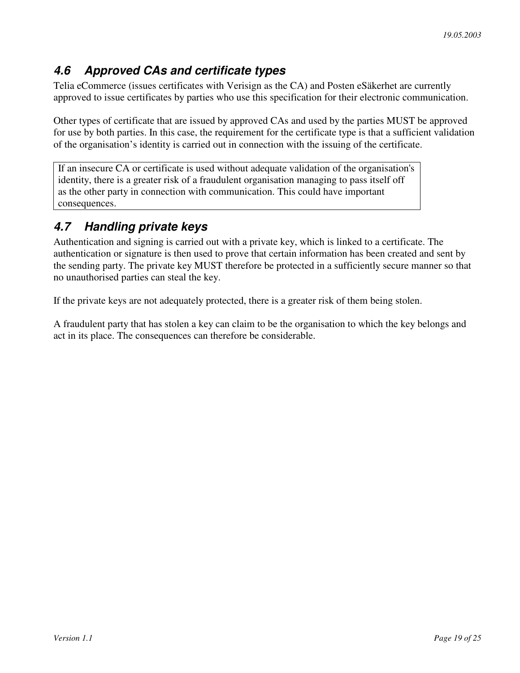### *4.6 Approved CAs and certificate types*

Telia eCommerce (issues certificates with Verisign as the CA) and Posten eSäkerhet are currently approved to issue certificates by parties who use this specification for their electronic communication.

Other types of certificate that are issued by approved CAs and used by the parties MUST be approved for use by both parties. In this case, the requirement for the certificate type is that a sufficient validation of the organisation's identity is carried out in connection with the issuing of the certificate.

If an insecure CA or certificate is used without adequate validation of the organisation's identity, there is a greater risk of a fraudulent organisation managing to pass itself off as the other party in connection with communication. This could have important consequences.

#### *4.7 Handling private keys*

Authentication and signing is carried out with a private key, which is linked to a certificate. The authentication or signature is then used to prove that certain information has been created and sent by the sending party. The private key MUST therefore be protected in a sufficiently secure manner so that no unauthorised parties can steal the key.

If the private keys are not adequately protected, there is a greater risk of them being stolen.

A fraudulent party that has stolen a key can claim to be the organisation to which the key belongs and act in its place. The consequences can therefore be considerable.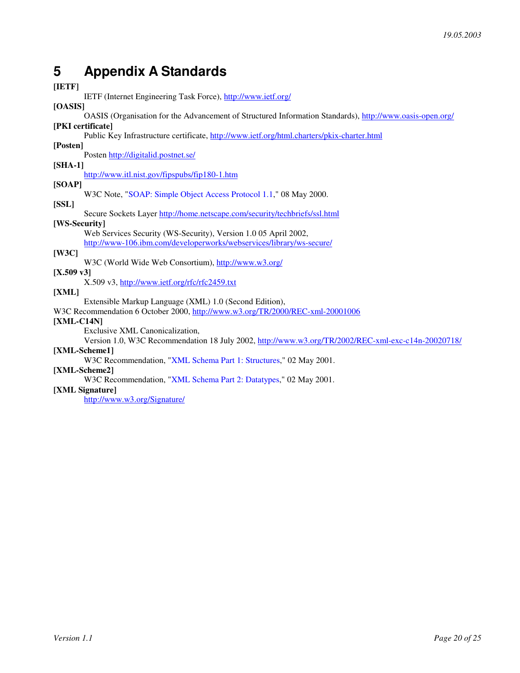# **5 Appendix A Standards**

| [IETF]                                                                                                   |
|----------------------------------------------------------------------------------------------------------|
|                                                                                                          |
| IETF (Internet Engineering Task Force), http://www.ietf.org/                                             |
| [OASIS]                                                                                                  |
| OASIS (Organisation for the Advancement of Structured Information Standards), http://www.oasis-open.org/ |
| [PKI certificate]                                                                                        |
| Public Key Infrastructure certificate, http://www.ietf.org/html.charters/pkix-charter.html               |
| [Posten]                                                                                                 |
| Posten http://digitalid.postnet.se/                                                                      |
| $[SHA-1]$                                                                                                |
| http://www.itl.nist.gov/fipspubs/fip180-1.htm                                                            |
| [SOAP]                                                                                                   |
| W3C Note, "SOAP: Simple Object Access Protocol 1.1," 08 May 2000.                                        |
| [SSL]                                                                                                    |
| Secure Sockets Layer http://home.netscape.com/security/techbriefs/ssl.html                               |
| [WS-Security]                                                                                            |
| Web Services Security (WS-Security), Version 1.0 05 April 2002,                                          |
| http://www-106.ibm.com/developerworks/webservices/library/ws-secure/                                     |
| [W3C]                                                                                                    |
| W3C (World Wide Web Consortium), http://www.w3.org/                                                      |
| [X.509 v3]                                                                                               |
| X.509 v3, http://www.ietf.org/rfc/rfc2459.txt                                                            |
| [XML]                                                                                                    |
| Extensible Markup Language (XML) 1.0 (Second Edition),                                                   |
| W3C Recommendation 6 October 2000, http://www.w3.org/TR/2000/REC-xml-20001006                            |
| $[XML-C14N]$                                                                                             |
| Exclusive XML Canonicalization,                                                                          |
| Version 1.0, W3C Recommendation 18 July 2002, http://www.w3.org/TR/2002/REC-xml-exc-c14n-20020718/       |
| [XML-Scheme1]                                                                                            |
| W3C Recommendation, "XML Schema Part 1: Structures," 02 May 2001.                                        |
| [XML-Scheme2]                                                                                            |
| W3C Recommendation, "XML Schema Part 2: Datatypes," 02 May 2001.                                         |
| [XML Signature]                                                                                          |
| http://www.w3.org/Signature/                                                                             |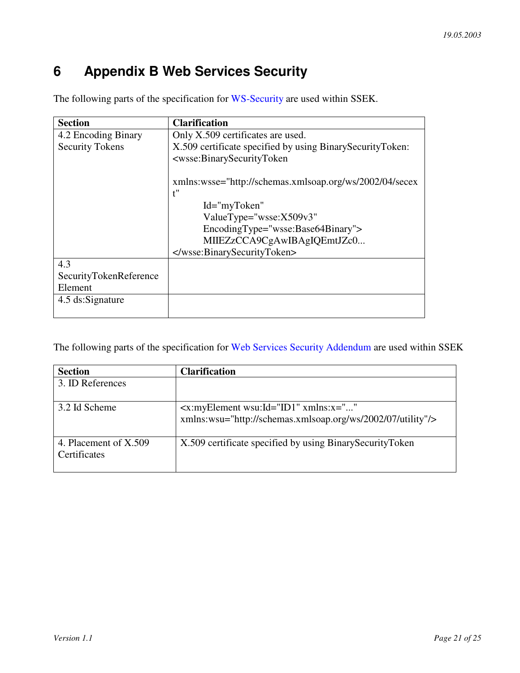# **6 Appendix B Web Services Security**

| The following parts of the specification for WS-Security are used within SSEK. |
|--------------------------------------------------------------------------------|
|--------------------------------------------------------------------------------|

| <b>Section</b>         | <b>Clarification</b>                                                                                                       |
|------------------------|----------------------------------------------------------------------------------------------------------------------------|
| 4.2 Encoding Binary    | Only X.509 certificates are used.                                                                                          |
| <b>Security Tokens</b> | X.509 certificate specified by using BinarySecurityToken:<br><wsse:binarysecuritytoken< td=""></wsse:binarysecuritytoken<> |
|                        | xmlns:wsse="http://schemas.xmlsoap.org/ws/2002/04/secex<br>t''                                                             |
|                        | Id="myToken"                                                                                                               |
|                        | ValueType="wsse:X509v3"                                                                                                    |
|                        | EncodingType="wsse:Base64Binary">                                                                                          |
|                        | MIIEZzCCA9CgAwIBAgIQEmtJZc0                                                                                                |
|                        |                                                                                                                            |
| 4.3                    |                                                                                                                            |
| SecurityTokenReference |                                                                                                                            |
| Element                |                                                                                                                            |
| 4.5 ds:Signature       |                                                                                                                            |

The following parts of the specification for Web Services Security Addendum are used within SSEK

| <b>Section</b>        | <b>Clarification</b>                                        |
|-----------------------|-------------------------------------------------------------|
| 3. ID References      |                                                             |
|                       |                                                             |
| 3.2 Id Scheme         | $\langle x : myElement$ wsu:Id="ID1" $x$ mlns: $x =$ ""     |
|                       | xmlns:wsu="http://schemas.xmlsoap.org/ws/2002/07/utility"/> |
| 4. Placement of X.509 | X.509 certificate specified by using BinarySecurityToken    |
| Certificates          |                                                             |
|                       |                                                             |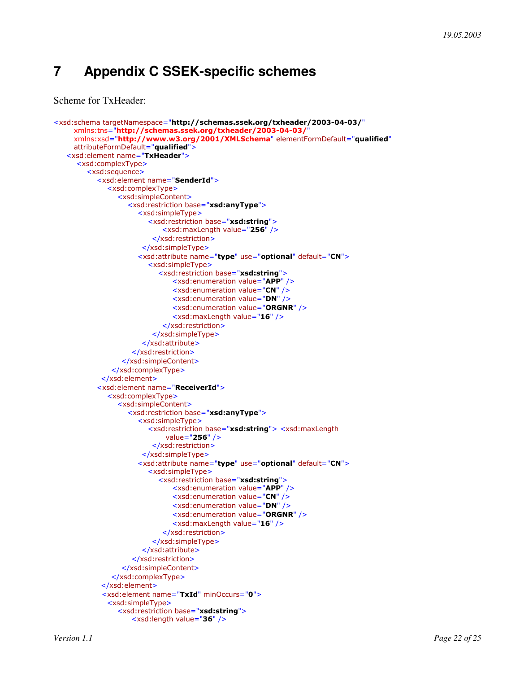#### **Appendix C SSEK-specific schemes** 7

Scheme for TxHeader:

```
<xsd:schema targetNamespace="http://schemas.ssek.org/txheader/2003-04-03/"
     xmlns:tns="http://schemas.ssek.org/txheader/2003-04-03/
     xmlns:xsd="http://www.w3.org/2001/XMLSchema" elementFormDefault="qualified"
    attributeFormDefault="qualified">
   <xsd:element name="TxHeader">
     <xsd:complexType>
        <xsd:sequence>
           <xsd:element name="SenderId">
             <xsd:complexType>
                <xsd:simpleContent>
                   <xsd:restriction base="xsd:anyType">
                     <xsd:simpleType>
                        <xsd:restriction base="xsd:string">
                            <xsd:maxLength value="256" />
                         </xsd:restriction>
                      </xsd:simpleType>
                     <xsd:attribute name="type" use="optional" default="CN">
                        <xsd:simpleType>
                           <xsd:restriction base="xsd:string">
                              <xsd:enumeration value="APP" />
                              <xsd:enumeration value="CN" />
                              <xsd:enumeration value="DN" />
                              <xsd:enumeration value="ORGNR" />
                              <xsd:maxLength value="16" />
                            </xsd:restriction>
                         </xsd:simpleType>
                       </xsd:attribute>
                    </xsd:restriction>
                 </xsd:simpleContent>
              </xsd:complexType>
            </xsd:element>
           <xsd:element name="ReceiverId">
             <xsd:complexType>
                <xsd:simpleContent>
                   <xsd:restriction base="xsd:anyType">
                     <xsd:simpleType>
                        <xsd:restriction base="xsd:string"> <xsd:maxLength
                            value="256" />
                         </xsd:restriction>
                      </xsd:simpleType>
                      <xsd:attribute name="type" use="optional" default="CN">
                        <xsd:simpleType>
                           <xsd:restriction base="xsd:string">
                              <xsd:enumeration value="APP" />
                              <xsd:enumeration value="CN" />
                              <xsd:enumeration value="DN" />
                              <xsd:enumeration value="ORGNR" />
                              <xsd:maxLength value="16" />
                            </xsd:restriction>
                         </xsd:simpleType>
                       </xsd:attribute>
                    </xsd:restriction>
                 </xsd:simpleContent>
              </xsd:complexTvpe>
            </xsd:element>
            <xsd:element name="TxId" minOccurs="0">
             <xsd:simpleType>
                <xsd:restriction base="xsd:string">
                    <xsd:length value="36" />
```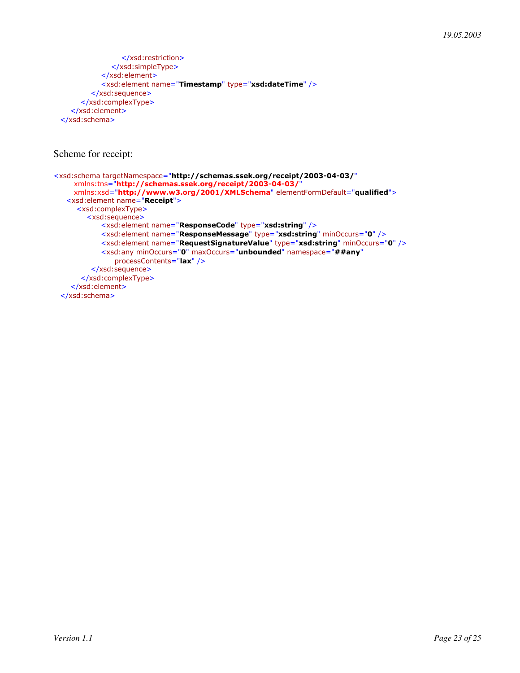```
</xsd:restriction>
             </xsd:simpleType>
          </xsd:element>
          <xsd:element name="Timestamp" type="xsd:dateTime" />
       </xsd:sequence>
     </xsd:complexType>
  </xsd:element>
</xsd:schema>
```
#### Scheme for receipt:

```
<xsd:schema targetNamespace="http://schemas.ssek.org/receipt/2003-04-03/"
     xmlns:tns="http://schemas.ssek.org/receipt/2003-04-03/"
     xmlns:xsd="http://www.w3.org/2001/XMLSchema" elementFormDefault="qualified">
   <xsd:element name="Receipt">
     <xsd:complexType>
        <xsd:sequence>
           <xsd:element name="ResponseCode" type="xsd:string" />
           <xsd:element name="ResponseMessage" type="xsd:string" minOccurs="0" />
           <xsd:element name="RequestSignatureValue" type="xsd:string" minOccurs="0" />
           <xsd:any minOccurs="0" maxOccurs="unbounded" namespace="##any"
               processContents="lax" />
         </xsd:sequence>
      </xsd:complexType>
    </xsd:element>
 </xsd:schema>
```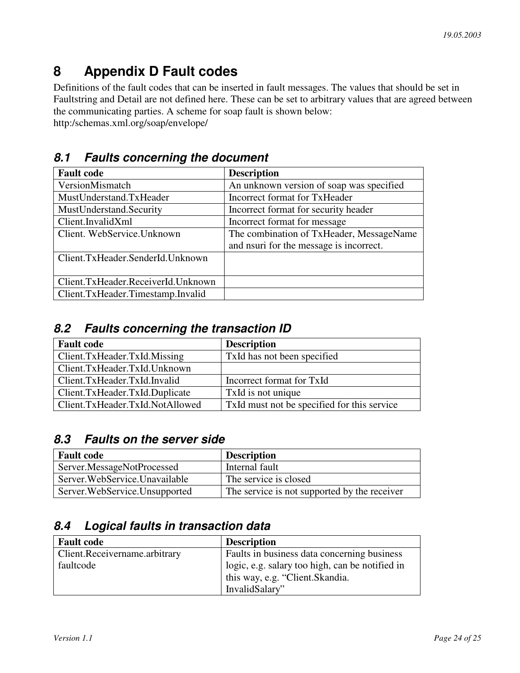# **8 Appendix D Fault codes**

Definitions of the fault codes that can be inserted in fault messages. The values that should be set in Faultstring and Detail are not defined here. These can be set to arbitrary values that are agreed between the communicating parties. A scheme for soap fault is shown below: http:/schemas.xml.org/soap/envelope/

#### *8.1 Faults concerning the document*

| <b>Fault code</b>                  | <b>Description</b>                       |
|------------------------------------|------------------------------------------|
| VersionMismatch                    | An unknown version of soap was specified |
| MustUnderstand.TxHeader            | Incorrect format for TxHeader            |
| MustUnderstand.Security            | Incorrect format for security header     |
| Client.InvalidXml                  | Incorrect format for message             |
| Client. WebService. Unknown        | The combination of TxHeader, MessageName |
|                                    | and nsuri for the message is incorrect.  |
| Client.TxHeader.SenderId.Unknown   |                                          |
|                                    |                                          |
| Client.TxHeader.ReceiverId.Unknown |                                          |
| Client.TxHeader.Timestamp.Invalid  |                                          |

#### *8.2 Faults concerning the transaction ID*

| <b>Fault code</b>               | <b>Description</b>                          |
|---------------------------------|---------------------------------------------|
| Client.TxHeader.TxId.Missing    | TxId has not been specified                 |
| Client.TxHeader.TxId.Unknown    |                                             |
| Client.TxHeader.TxId.Invalid    | Incorrect format for TxId                   |
| Client.TxHeader.TxId.Duplicate  | TxId is not unique                          |
| Client.TxHeader.TxId.NotAllowed | TxId must not be specified for this service |

#### *8.3 Faults on the server side*

| <b>Fault code</b>                | <b>Description</b>                           |
|----------------------------------|----------------------------------------------|
| Server.MessageNotProcessed       | Internal fault                               |
| Server. Web Service. Unavailable | The service is closed                        |
| Server. WebService. Unsupported  | The service is not supported by the receiver |

#### *8.4 Logical faults in transaction data*

| <b>Fault code</b>                    | <b>Description</b>                              |
|--------------------------------------|-------------------------------------------------|
| <b>Client.Receivername.arbitrary</b> | Faults in business data concerning business     |
| faultcode                            | logic, e.g. salary too high, can be notified in |
|                                      | this way, e.g. "Client.Skandia.                 |
|                                      | InvalidSalary"                                  |